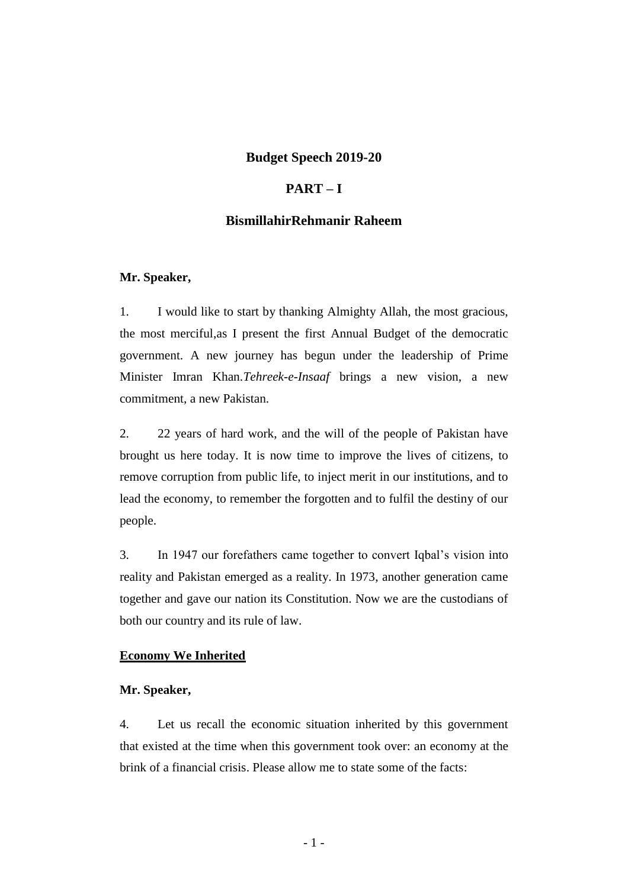### **Budget Speech 2019-20**

### **PART – I**

### **BismillahirRehmanir Raheem**

#### **Mr. Speaker,**

1. I would like to start by thanking Almighty Allah, the most gracious, the most merciful,as I present the first Annual Budget of the democratic government. A new journey has begun under the leadership of Prime Minister Imran Khan.*Tehreek-e-Insaaf* brings a new vision, a new commitment, a new Pakistan.

2. 22 years of hard work, and the will of the people of Pakistan have brought us here today. It is now time to improve the lives of citizens, to remove corruption from public life, to inject merit in our institutions, and to lead the economy, to remember the forgotten and to fulfil the destiny of our people.

3. In 1947 our forefathers came together to convert Iqbal's vision into reality and Pakistan emerged as a reality. In 1973, another generation came together and gave our nation its Constitution. Now we are the custodians of both our country and its rule of law.

#### **Economy We Inherited**

#### **Mr. Speaker,**

4. Let us recall the economic situation inherited by this government that existed at the time when this government took over: an economy at the brink of a financial crisis. Please allow me to state some of the facts: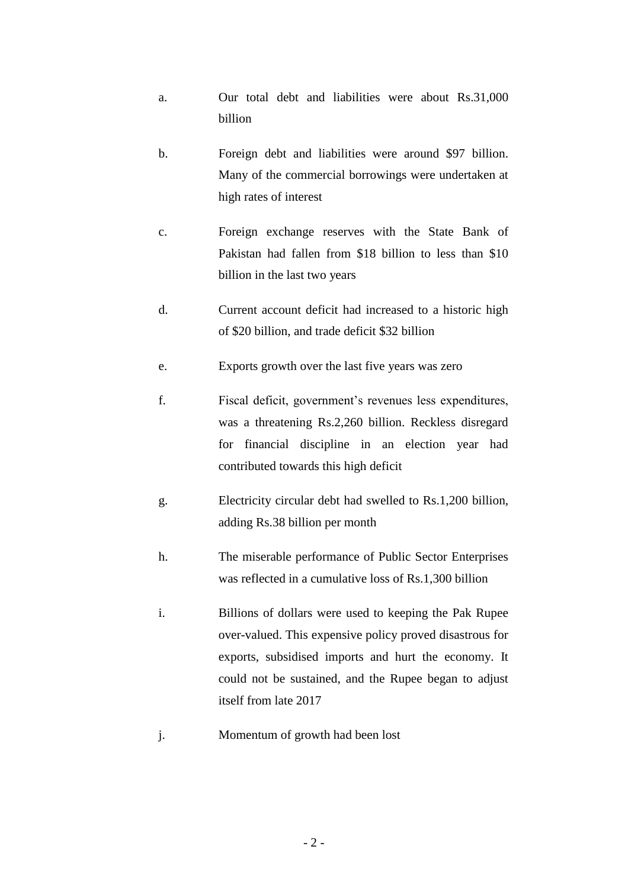- a. Our total debt and liabilities were about Rs.31,000 billion
- b. Foreign debt and liabilities were around \$97 billion. Many of the commercial borrowings were undertaken at high rates of interest
- c. Foreign exchange reserves with the State Bank of Pakistan had fallen from \$18 billion to less than \$10 billion in the last two years
- d. Current account deficit had increased to a historic high of \$20 billion, and trade deficit \$32 billion
- e. Exports growth over the last five years was zero
- f. Fiscal deficit, government's revenues less expenditures, was a threatening Rs.2,260 billion. Reckless disregard for financial discipline in an election year had contributed towards this high deficit
- g. Electricity circular debt had swelled to Rs.1,200 billion, adding Rs.38 billion per month
- h. The miserable performance of Public Sector Enterprises was reflected in a cumulative loss of Rs.1,300 billion
- i. Billions of dollars were used to keeping the Pak Rupee over-valued. This expensive policy proved disastrous for exports, subsidised imports and hurt the economy. It could not be sustained, and the Rupee began to adjust itself from late 2017
- j. Momentum of growth had been lost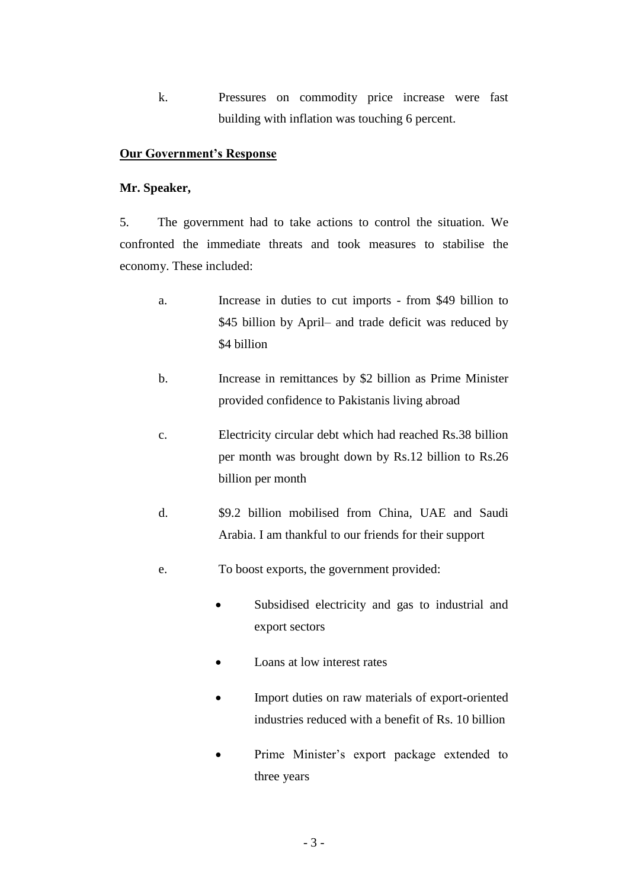k. Pressures on commodity price increase were fast building with inflation was touching 6 percent.

### **Our Government's Response**

### **Mr. Speaker,**

5. The government had to take actions to control the situation. We confronted the immediate threats and took measures to stabilise the economy. These included:

- a. Increase in duties to cut imports from \$49 billion to \$45 billion by April– and trade deficit was reduced by \$4 billion
- b. Increase in remittances by \$2 billion as Prime Minister provided confidence to Pakistanis living abroad
- c. Electricity circular debt which had reached Rs.38 billion per month was brought down by Rs.12 billion to Rs.26 billion per month
- d. \$9.2 billion mobilised from China, UAE and Saudi Arabia. I am thankful to our friends for their support
- e. To boost exports, the government provided:
	- Subsidised electricity and gas to industrial and export sectors
	- Loans at low interest rates
	- Import duties on raw materials of export-oriented industries reduced with a benefit of Rs. 10 billion
	- Prime Minister's export package extended to three years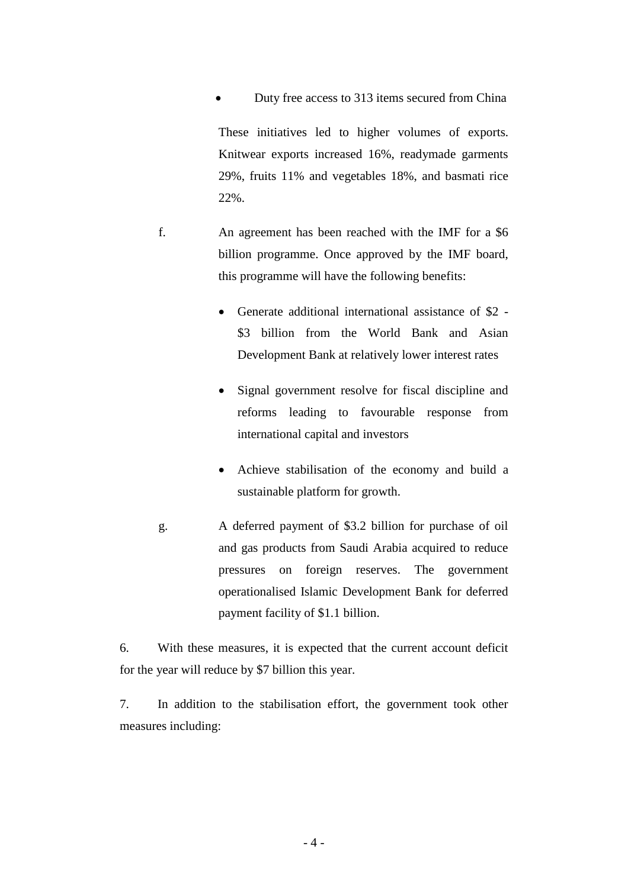Duty free access to 313 items secured from China

These initiatives led to higher volumes of exports. Knitwear exports increased 16%, readymade garments 29%, fruits 11% and vegetables 18%, and basmati rice 22%.

- f. An agreement has been reached with the IMF for a \$6 billion programme. Once approved by the IMF board, this programme will have the following benefits:
	- Generate additional international assistance of \$2 \$3 billion from the World Bank and Asian Development Bank at relatively lower interest rates
	- Signal government resolve for fiscal discipline and reforms leading to favourable response from international capital and investors
	- Achieve stabilisation of the economy and build a sustainable platform for growth.
- g. A deferred payment of \$3.2 billion for purchase of oil and gas products from Saudi Arabia acquired to reduce pressures on foreign reserves. The government operationalised Islamic Development Bank for deferred payment facility of \$1.1 billion.

6. With these measures, it is expected that the current account deficit for the year will reduce by \$7 billion this year.

7. In addition to the stabilisation effort, the government took other measures including: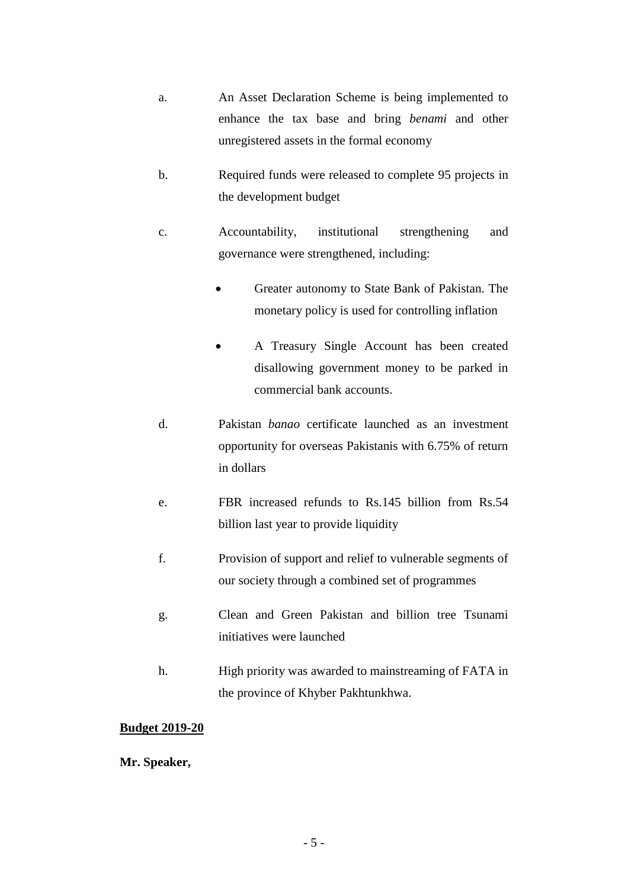- a. An Asset Declaration Scheme is being implemented to enhance the tax base and bring *benami* and other unregistered assets in the formal economy
- b. Required funds were released to complete 95 projects in the development budget
- c. Accountability, institutional strengthening and governance were strengthened, including:
	- Greater autonomy to State Bank of Pakistan. The monetary policy is used for controlling inflation
	- A Treasury Single Account has been created disallowing government money to be parked in commercial bank accounts.
- d. Pakistan *banao* certificate launched as an investment opportunity for overseas Pakistanis with 6.75% of return in dollars
- e. FBR increased refunds to Rs.145 billion from Rs.54 billion last year to provide liquidity
- f. Provision of support and relief to vulnerable segments of our society through a combined set of programmes
- g. Clean and Green Pakistan and billion tree Tsunami initiatives were launched
- h. High priority was awarded to mainstreaming of FATA in the province of Khyber Pakhtunkhwa.

## **Budget 2019-20**

**Mr. Speaker,**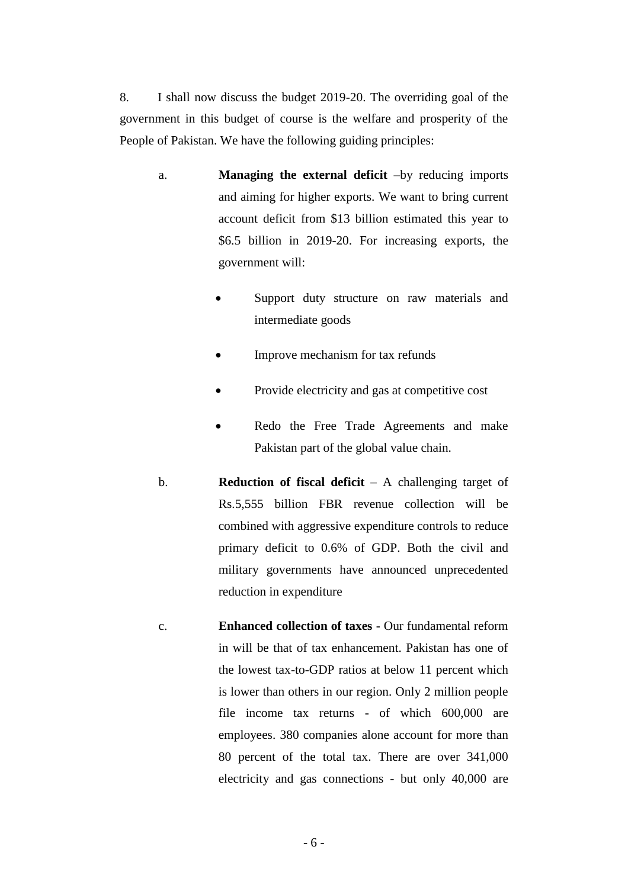8. I shall now discuss the budget 2019-20. The overriding goal of the government in this budget of course is the welfare and prosperity of the People of Pakistan. We have the following guiding principles:

- a. **Managing the external deficit** –by reducing imports and aiming for higher exports. We want to bring current account deficit from \$13 billion estimated this year to \$6.5 billion in 2019-20. For increasing exports, the government will:
	- Support duty structure on raw materials and intermediate goods
	- Improve mechanism for tax refunds
	- Provide electricity and gas at competitive cost
	- Redo the Free Trade Agreements and make Pakistan part of the global value chain.
- b. **Reduction of fiscal deficit** A challenging target of Rs.5,555 billion FBR revenue collection will be combined with aggressive expenditure controls to reduce primary deficit to 0.6% of GDP. Both the civil and military governments have announced unprecedented reduction in expenditure
- c. **Enhanced collection of taxes** Our fundamental reform in will be that of tax enhancement. Pakistan has one of the lowest tax-to-GDP ratios at below 11 percent which is lower than others in our region. Only 2 million people file income tax returns - of which 600,000 are employees. 380 companies alone account for more than 80 percent of the total tax. There are over 341,000 electricity and gas connections - but only 40,000 are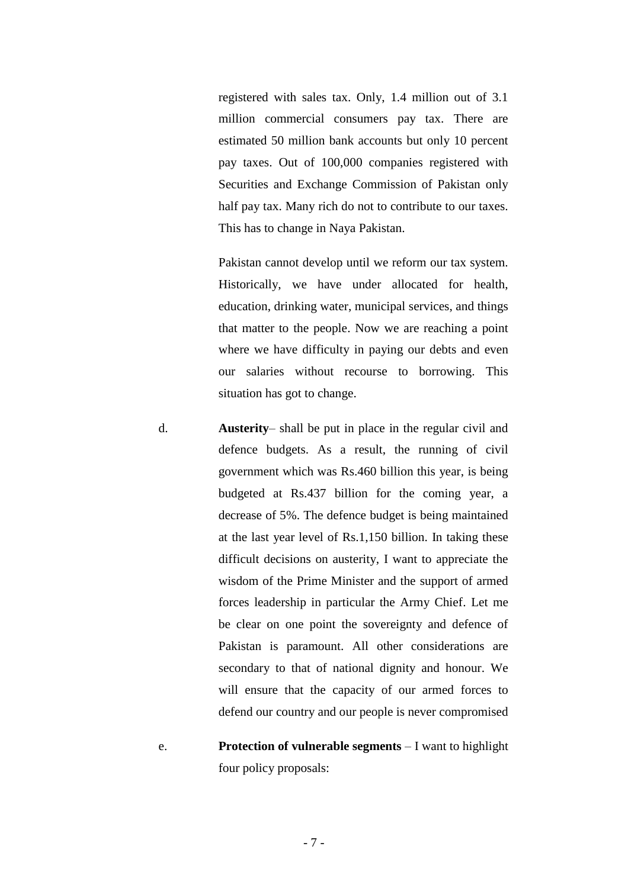registered with sales tax. Only, 1.4 million out of 3.1 million commercial consumers pay tax. There are estimated 50 million bank accounts but only 10 percent pay taxes. Out of 100,000 companies registered with Securities and Exchange Commission of Pakistan only half pay tax. Many rich do not to contribute to our taxes. This has to change in Naya Pakistan.

Pakistan cannot develop until we reform our tax system. Historically, we have under allocated for health, education, drinking water, municipal services, and things that matter to the people. Now we are reaching a point where we have difficulty in paying our debts and even our salaries without recourse to borrowing. This situation has got to change.

- d. **Austerity** shall be put in place in the regular civil and defence budgets. As a result, the running of civil government which was Rs.460 billion this year, is being budgeted at Rs.437 billion for the coming year, a decrease of 5%. The defence budget is being maintained at the last year level of Rs.1,150 billion. In taking these difficult decisions on austerity, I want to appreciate the wisdom of the Prime Minister and the support of armed forces leadership in particular the Army Chief. Let me be clear on one point the sovereignty and defence of Pakistan is paramount. All other considerations are secondary to that of national dignity and honour. We will ensure that the capacity of our armed forces to defend our country and our people is never compromised
- e. **Protection of vulnerable segments** I want to highlight four policy proposals: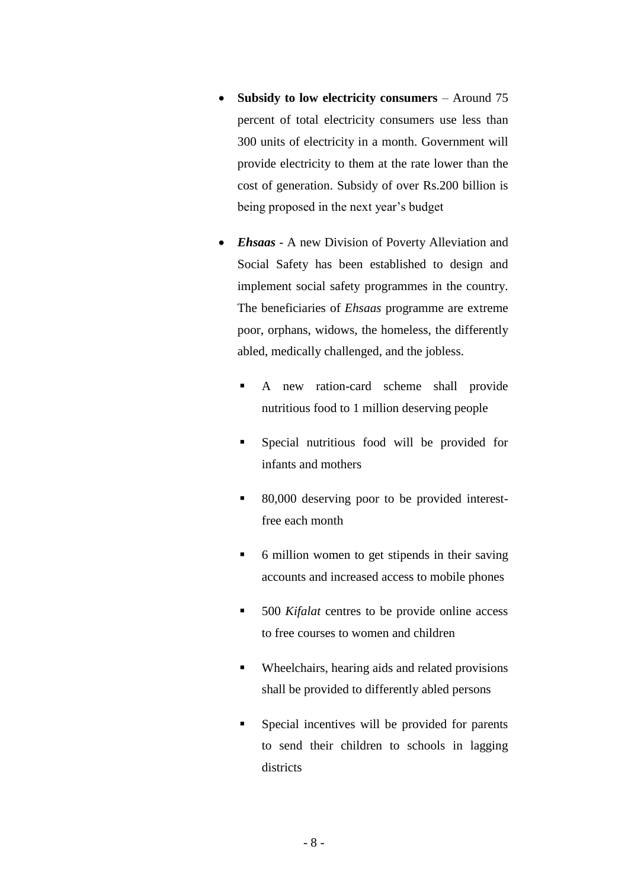- **Subsidy to low electricity consumers** Around 75 percent of total electricity consumers use less than 300 units of electricity in a month. Government will provide electricity to them at the rate lower than the cost of generation. Subsidy of over Rs.200 billion is being proposed in the next year's budget
- *Ehsaas* A new Division of Poverty Alleviation and Social Safety has been established to design and implement social safety programmes in the country. The beneficiaries of *Ehsaas* programme are extreme poor, orphans, widows, the homeless, the differently abled, medically challenged, and the jobless.
	- A new ration-card scheme shall provide nutritious food to 1 million deserving people
	- Special nutritious food will be provided for infants and mothers
	- 80,000 deserving poor to be provided interestfree each month
	- 6 million women to get stipends in their saving accounts and increased access to mobile phones
	- 500 *Kifalat* centres to be provide online access to free courses to women and children
	- Wheelchairs, hearing aids and related provisions shall be provided to differently abled persons
	- Special incentives will be provided for parents to send their children to schools in lagging districts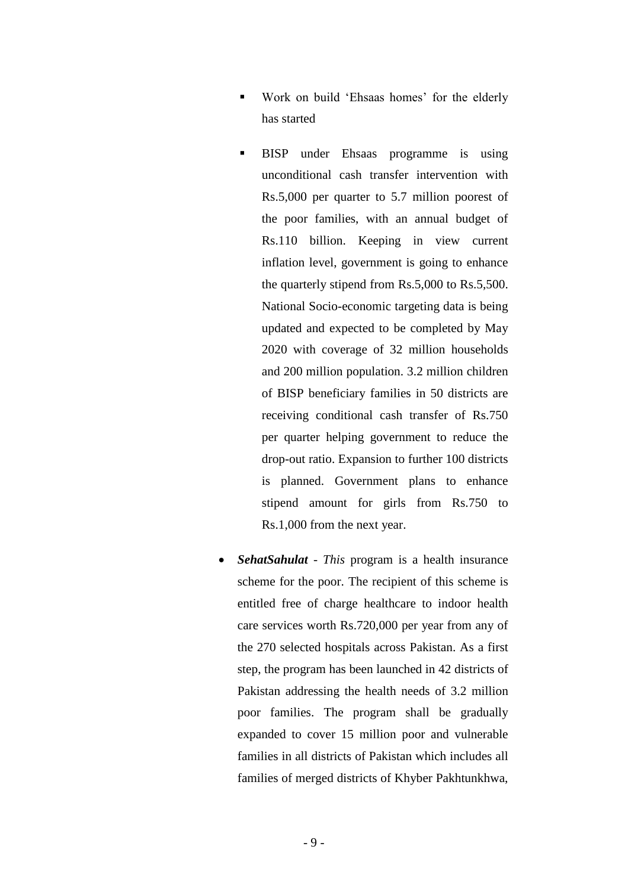- Work on build 'Ehsaas homes' for the elderly has started
- BISP under Ehsaas programme is using unconditional cash transfer intervention with Rs.5,000 per quarter to 5.7 million poorest of the poor families, with an annual budget of Rs.110 billion. Keeping in view current inflation level, government is going to enhance the quarterly stipend from Rs.5,000 to Rs.5,500. National Socio-economic targeting data is being updated and expected to be completed by May 2020 with coverage of 32 million households and 200 million population. 3.2 million children of BISP beneficiary families in 50 districts are receiving conditional cash transfer of Rs.750 per quarter helping government to reduce the drop-out ratio. Expansion to further 100 districts is planned. Government plans to enhance stipend amount for girls from Rs.750 to Rs.1,000 from the next year.
- *SehatSahulat This* program is a health insurance scheme for the poor. The recipient of this scheme is entitled free of charge healthcare to indoor health care services worth Rs.720,000 per year from any of the 270 selected hospitals across Pakistan. As a first step, the program has been launched in 42 districts of Pakistan addressing the health needs of 3.2 million poor families. The program shall be gradually expanded to cover 15 million poor and vulnerable families in all districts of Pakistan which includes all families of merged districts of Khyber Pakhtunkhwa,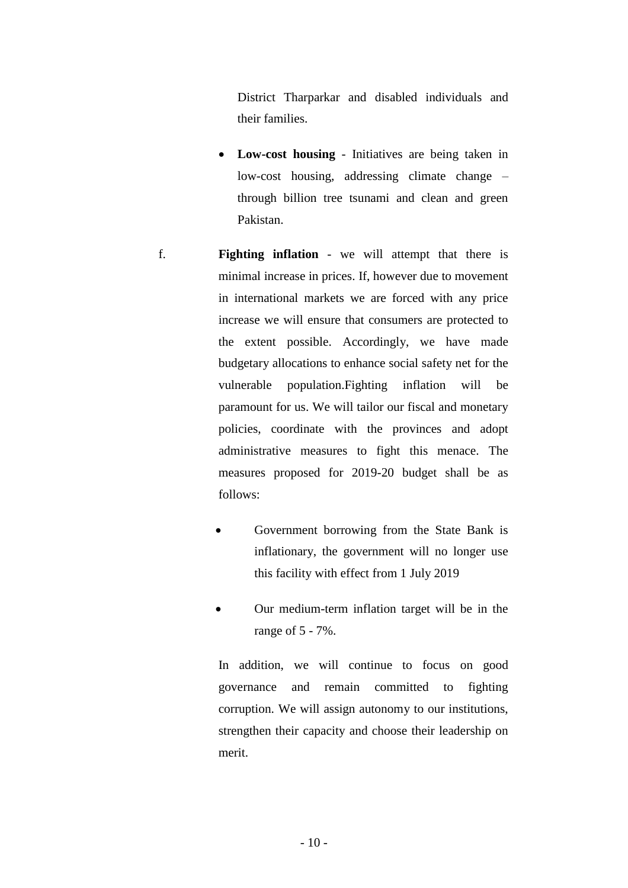District Tharparkar and disabled individuals and their families.

- **Low-cost housing** Initiatives are being taken in low-cost housing, addressing climate change – through billion tree tsunami and clean and green Pakistan.
- f. **Fighting inflation** we will attempt that there is minimal increase in prices. If, however due to movement in international markets we are forced with any price increase we will ensure that consumers are protected to the extent possible. Accordingly, we have made budgetary allocations to enhance social safety net for the vulnerable population.Fighting inflation will be paramount for us. We will tailor our fiscal and monetary policies, coordinate with the provinces and adopt administrative measures to fight this menace. The measures proposed for 2019-20 budget shall be as follows:
	- Government borrowing from the State Bank is inflationary, the government will no longer use this facility with effect from 1 July 2019
	- Our medium-term inflation target will be in the range of 5 - 7%.

In addition, we will continue to focus on good governance and remain committed to fighting corruption. We will assign autonomy to our institutions, strengthen their capacity and choose their leadership on merit.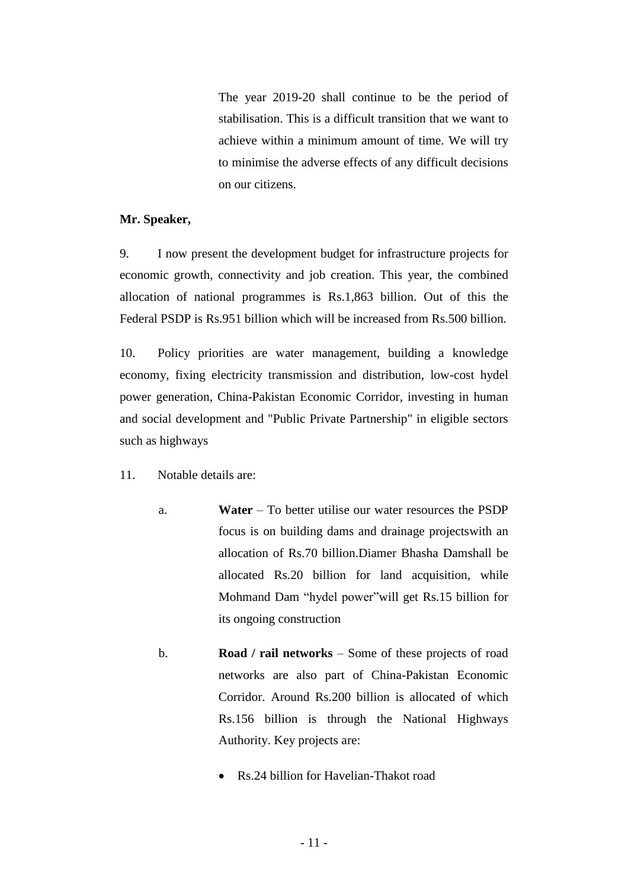The year 2019-20 shall continue to be the period of stabilisation. This is a difficult transition that we want to achieve within a minimum amount of time. We will try to minimise the adverse effects of any difficult decisions on our citizens.

#### **Mr. Speaker,**

9. I now present the development budget for infrastructure projects for economic growth, connectivity and job creation. This year, the combined allocation of national programmes is Rs.1,863 billion. Out of this the Federal PSDP is Rs.951 billion which will be increased from Rs.500 billion.

10. Policy priorities are water management, building a knowledge economy, fixing electricity transmission and distribution, low-cost hydel power generation, China-Pakistan Economic Corridor, investing in human and social development and "Public Private Partnership" in eligible sectors such as highways

- 11. Notable details are:
	- a. **Water** To better utilise our water resources the PSDP focus is on building dams and drainage projectswith an allocation of Rs.70 billion.Diamer Bhasha Damshall be allocated Rs.20 billion for land acquisition, while Mohmand Dam "hydel power"will get Rs.15 billion for its ongoing construction
	- b. **Road / rail networks** Some of these projects of road networks are also part of China-Pakistan Economic Corridor. Around Rs.200 billion is allocated of which Rs.156 billion is through the National Highways Authority. Key projects are:
		- Rs. 24 billion for Havelian-Thakot road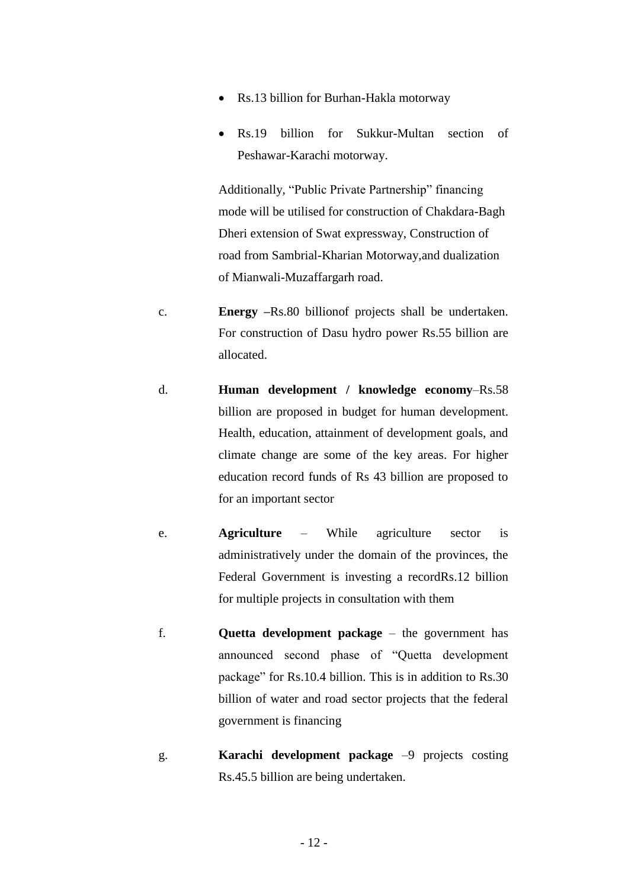- Rs.13 billion for Burhan-Hakla motorway
- Rs.19 billion for Sukkur-Multan section of Peshawar-Karachi motorway.

Additionally, "Public Private Partnership" financing mode will be utilised for construction of Chakdara-Bagh Dheri extension of Swat expressway, Construction of road from Sambrial-Kharian Motorway,and dualization of Mianwali-Muzaffargarh road.

- c. **Energy –**Rs.80 billionof projects shall be undertaken. For construction of Dasu hydro power Rs.55 billion are allocated.
- d. **Human development / knowledge economy**–Rs.58 billion are proposed in budget for human development. Health, education, attainment of development goals, and climate change are some of the key areas. For higher education record funds of Rs 43 billion are proposed to for an important sector
- e. **Agriculture**  While agriculture sector is administratively under the domain of the provinces, the Federal Government is investing a recordRs.12 billion for multiple projects in consultation with them
- f. **Quetta development package** the government has announced second phase of "Quetta development package" for Rs.10.4 billion. This is in addition to Rs.30 billion of water and road sector projects that the federal government is financing
- g. **Karachi development package** –9 projects costing Rs.45.5 billion are being undertaken.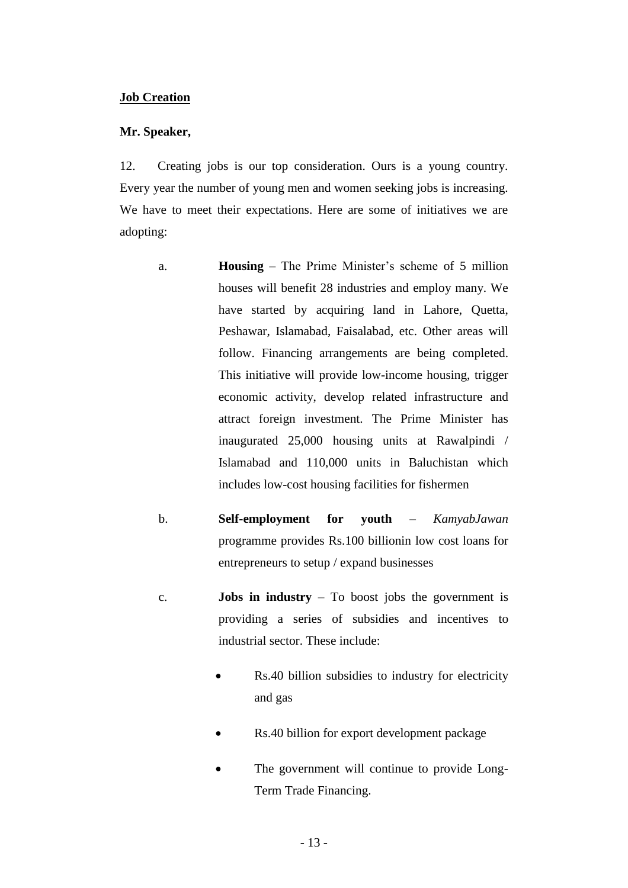### **Job Creation**

#### **Mr. Speaker,**

12. Creating jobs is our top consideration. Ours is a young country. Every year the number of young men and women seeking jobs is increasing. We have to meet their expectations. Here are some of initiatives we are adopting:

- a. **Housing** The Prime Minister's scheme of 5 million houses will benefit 28 industries and employ many. We have started by acquiring land in Lahore, Quetta, Peshawar, Islamabad, Faisalabad, etc. Other areas will follow. Financing arrangements are being completed. This initiative will provide low-income housing, trigger economic activity, develop related infrastructure and attract foreign investment. The Prime Minister has inaugurated 25,000 housing units at Rawalpindi / Islamabad and 110,000 units in Baluchistan which includes low-cost housing facilities for fishermen
- b. **Self-employment for youth** *– KamyabJawan* programme provides Rs.100 billionin low cost loans for entrepreneurs to setup / expand businesses
- c. **Jobs in industry**  To boost jobs the government is providing a series of subsidies and incentives to industrial sector. These include:
	- Rs.40 billion subsidies to industry for electricity and gas
	- Rs.40 billion for export development package
	- The government will continue to provide Long-Term Trade Financing.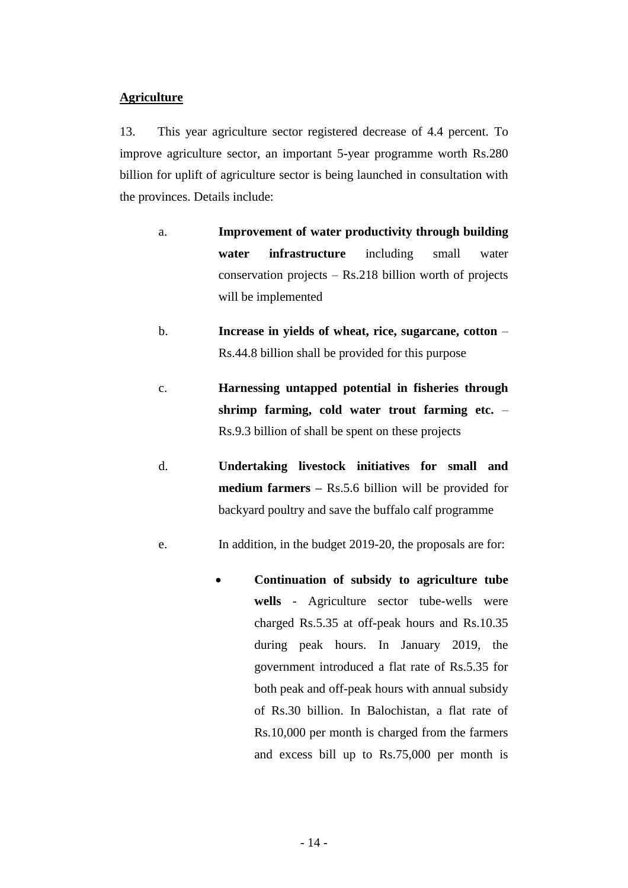### **Agriculture**

13. This year agriculture sector registered decrease of 4.4 percent. To improve agriculture sector, an important 5-year programme worth Rs.280 billion for uplift of agriculture sector is being launched in consultation with the provinces. Details include:

- a. **Improvement of water productivity through building water infrastructure** including small water conservation projects – Rs.218 billion worth of projects will be implemented
- b. **Increase in yields of wheat, rice, sugarcane, cotton** Rs.44.8 billion shall be provided for this purpose
- c. **Harnessing untapped potential in fisheries through shrimp farming, cold water trout farming etc.** – Rs.9.3 billion of shall be spent on these projects
- d. **Undertaking livestock initiatives for small and medium farmers –** Rs.5.6 billion will be provided for backyard poultry and save the buffalo calf programme
- e. In addition, in the budget 2019-20, the proposals are for:
	- **Continuation of subsidy to agriculture tube wells** - Agriculture sector tube-wells were charged Rs.5.35 at off-peak hours and Rs.10.35 during peak hours. In January 2019, the government introduced a flat rate of Rs.5.35 for both peak and off-peak hours with annual subsidy of Rs.30 billion. In Balochistan, a flat rate of Rs.10,000 per month is charged from the farmers and excess bill up to Rs.75,000 per month is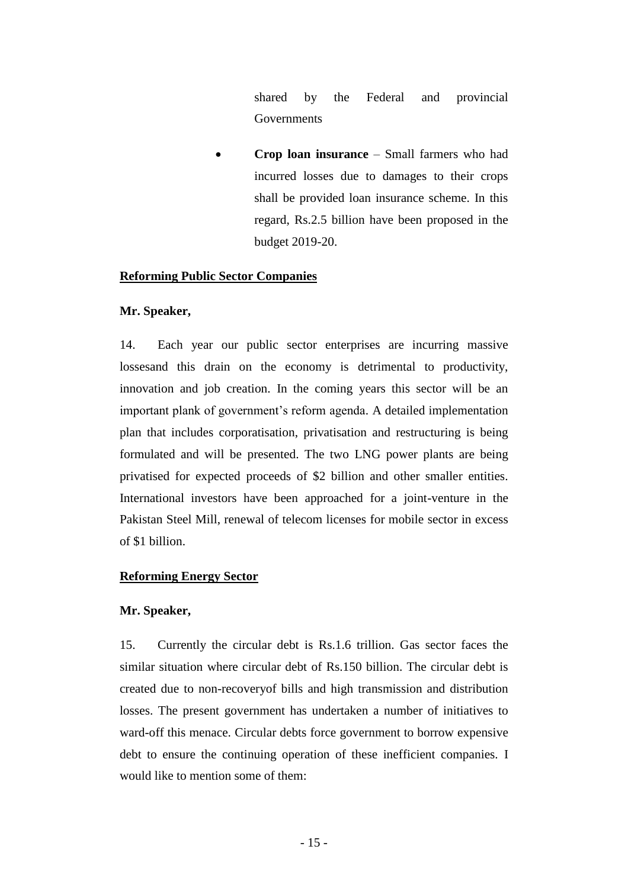shared by the Federal and provincial **Governments** 

 **Crop loan insurance** – Small farmers who had incurred losses due to damages to their crops shall be provided loan insurance scheme. In this regard, Rs.2.5 billion have been proposed in the budget 2019-20.

### **Reforming Public Sector Companies**

### **Mr. Speaker,**

14. Each year our public sector enterprises are incurring massive lossesand this drain on the economy is detrimental to productivity, innovation and job creation. In the coming years this sector will be an important plank of government's reform agenda. A detailed implementation plan that includes corporatisation, privatisation and restructuring is being formulated and will be presented. The two LNG power plants are being privatised for expected proceeds of \$2 billion and other smaller entities. International investors have been approached for a joint-venture in the Pakistan Steel Mill, renewal of telecom licenses for mobile sector in excess of \$1 billion.

### **Reforming Energy Sector**

### **Mr. Speaker,**

15. Currently the circular debt is Rs.1.6 trillion. Gas sector faces the similar situation where circular debt of Rs.150 billion. The circular debt is created due to non-recoveryof bills and high transmission and distribution losses. The present government has undertaken a number of initiatives to ward-off this menace. Circular debts force government to borrow expensive debt to ensure the continuing operation of these inefficient companies. I would like to mention some of them: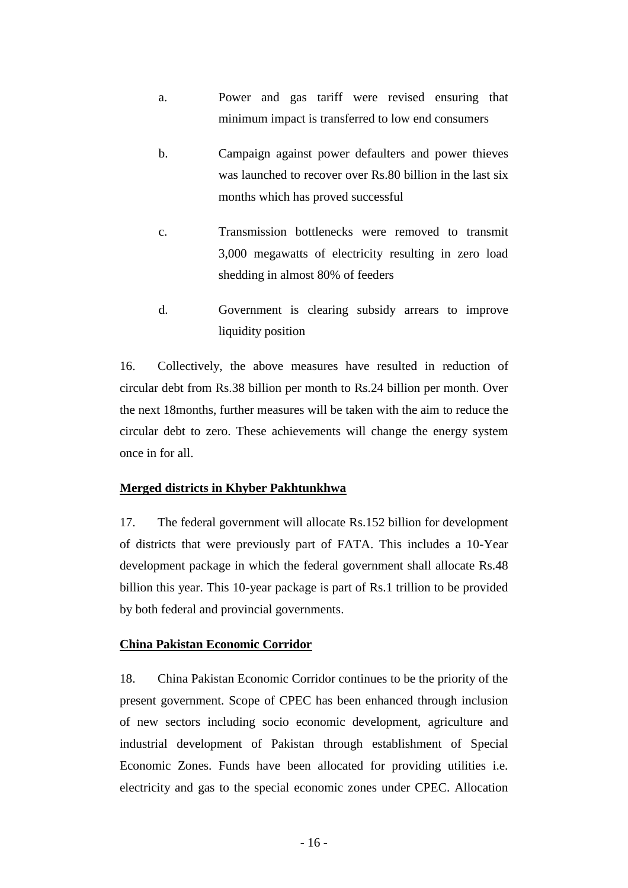- a. Power and gas tariff were revised ensuring that minimum impact is transferred to low end consumers
- b. Campaign against power defaulters and power thieves was launched to recover over Rs.80 billion in the last six months which has proved successful
- c. Transmission bottlenecks were removed to transmit 3,000 megawatts of electricity resulting in zero load shedding in almost 80% of feeders
- d. Government is clearing subsidy arrears to improve liquidity position

16. Collectively, the above measures have resulted in reduction of circular debt from Rs.38 billion per month to Rs.24 billion per month. Over the next 18months, further measures will be taken with the aim to reduce the circular debt to zero. These achievements will change the energy system once in for all.

## **Merged districts in Khyber Pakhtunkhwa**

17. The federal government will allocate Rs.152 billion for development of districts that were previously part of FATA. This includes a 10-Year development package in which the federal government shall allocate Rs.48 billion this year. This 10-year package is part of Rs.1 trillion to be provided by both federal and provincial governments.

## **China Pakistan Economic Corridor**

18. China Pakistan Economic Corridor continues to be the priority of the present government. Scope of CPEC has been enhanced through inclusion of new sectors including socio economic development, agriculture and industrial development of Pakistan through establishment of Special Economic Zones. Funds have been allocated for providing utilities i.e. electricity and gas to the special economic zones under CPEC. Allocation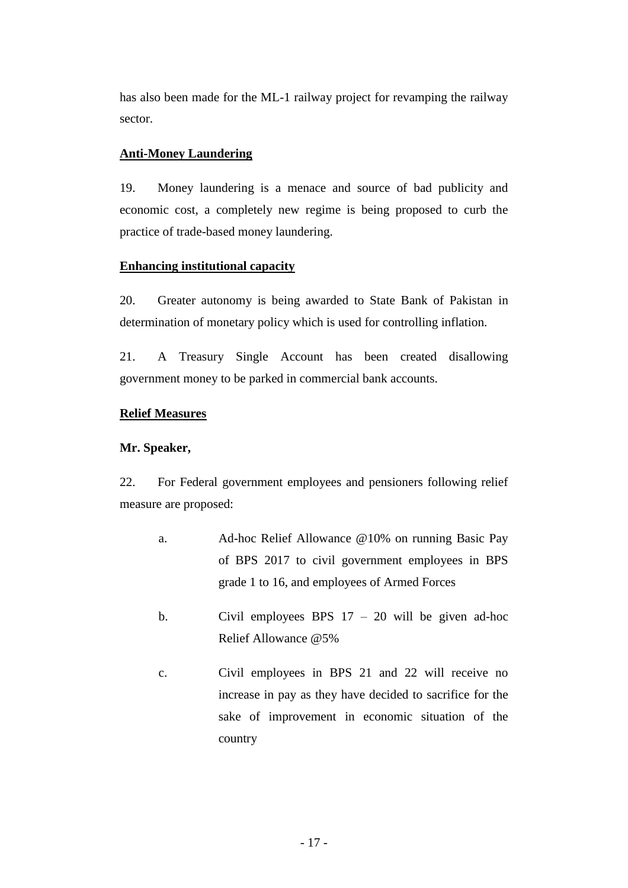has also been made for the ML-1 railway project for revamping the railway sector.

# **Anti-Money Laundering**

19. Money laundering is a menace and source of bad publicity and economic cost, a completely new regime is being proposed to curb the practice of trade-based money laundering.

## **Enhancing institutional capacity**

20. Greater autonomy is being awarded to State Bank of Pakistan in determination of monetary policy which is used for controlling inflation.

21. A Treasury Single Account has been created disallowing government money to be parked in commercial bank accounts.

# **Relief Measures**

## **Mr. Speaker,**

22. For Federal government employees and pensioners following relief measure are proposed:

- a. Ad-hoc Relief Allowance @10% on running Basic Pay of BPS 2017 to civil government employees in BPS grade 1 to 16, and employees of Armed Forces
- b. Civil employees BPS  $17 20$  will be given ad-hoc Relief Allowance @5%
- c. Civil employees in BPS 21 and 22 will receive no increase in pay as they have decided to sacrifice for the sake of improvement in economic situation of the country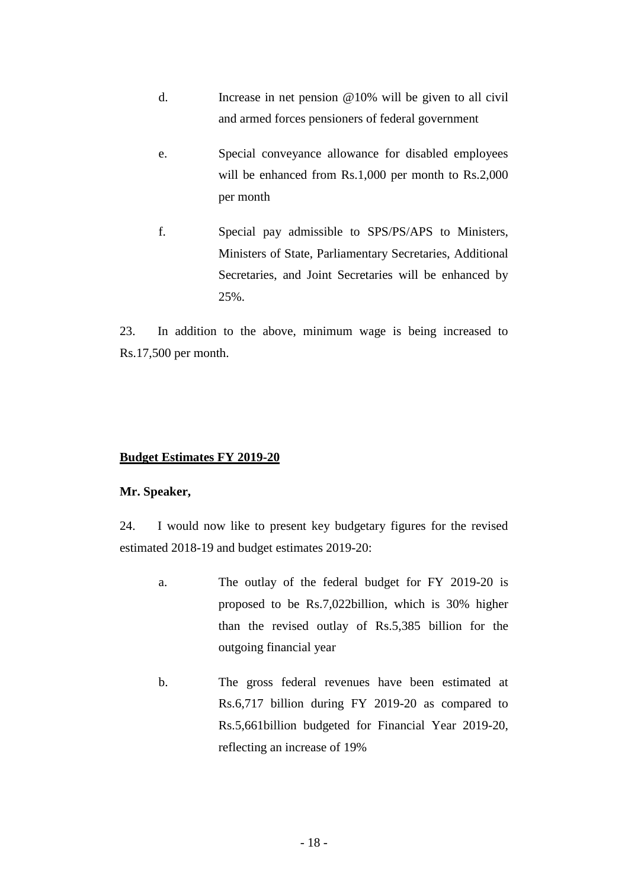- d. Increase in net pension @10% will be given to all civil and armed forces pensioners of federal government
- e. Special conveyance allowance for disabled employees will be enhanced from Rs.1,000 per month to Rs.2,000 per month
- f. Special pay admissible to SPS/PS/APS to Ministers, Ministers of State, Parliamentary Secretaries, Additional Secretaries, and Joint Secretaries will be enhanced by 25%.

23. In addition to the above, minimum wage is being increased to Rs.17,500 per month.

### **Budget Estimates FY 2019-20**

### **Mr. Speaker,**

24. I would now like to present key budgetary figures for the revised estimated 2018-19 and budget estimates 2019-20:

- a. The outlay of the federal budget for FY 2019-20 is proposed to be Rs.7,022billion, which is 30% higher than the revised outlay of Rs.5,385 billion for the outgoing financial year
- b. The gross federal revenues have been estimated at Rs.6,717 billion during FY 2019-20 as compared to Rs.5,661billion budgeted for Financial Year 2019-20, reflecting an increase of 19%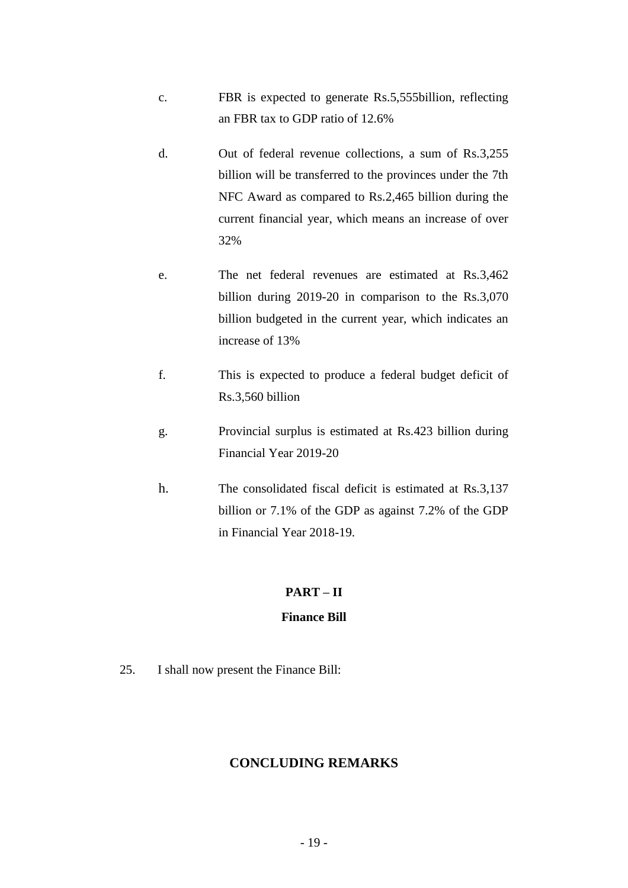- c. FBR is expected to generate Rs.5,555billion, reflecting an FBR tax to GDP ratio of 12.6%
- d. Out of federal revenue collections, a sum of Rs.3,255 billion will be transferred to the provinces under the 7th NFC Award as compared to Rs.2,465 billion during the current financial year, which means an increase of over 32%
- e. The net federal revenues are estimated at Rs.3,462 billion during 2019-20 in comparison to the Rs.3,070 billion budgeted in the current year, which indicates an increase of 13%
- f. This is expected to produce a federal budget deficit of Rs.3,560 billion
- g. Provincial surplus is estimated at Rs.423 billion during Financial Year 2019-20
- h. The consolidated fiscal deficit is estimated at Rs.3,137 billion or 7.1% of the GDP as against 7.2% of the GDP in Financial Year 2018-19.

# **PART – II**

# **Finance Bill**

25. I shall now present the Finance Bill:

## **CONCLUDING REMARKS**